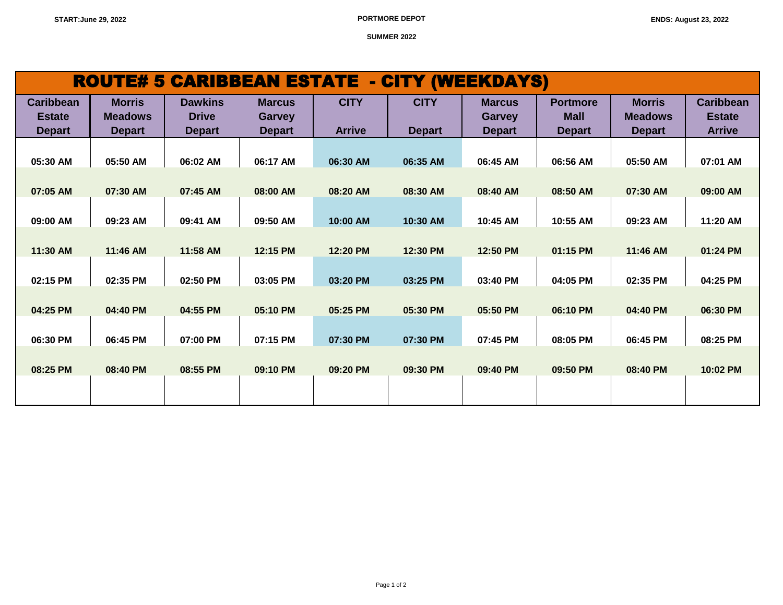**SUMMER 2022**

## ROUTE# 5 CARIBBEAN ESTATE - CITY (WEEKDAYS)

| <b>Caribbean</b><br><b>Estate</b> | <b>Morris</b><br><b>Meadows</b> | <b>Dawkins</b><br><b>Drive</b> | <b>Marcus</b><br><b>Garvey</b> | <b>CITY</b>   | <b>CITY</b>   | <b>Marcus</b><br><b>Garvey</b> | <b>Portmore</b><br><b>Mall</b> | <b>Morris</b><br><b>Meadows</b> | <b>Caribbean</b><br><b>Estate</b> |
|-----------------------------------|---------------------------------|--------------------------------|--------------------------------|---------------|---------------|--------------------------------|--------------------------------|---------------------------------|-----------------------------------|
| <b>Depart</b>                     | <b>Depart</b>                   | <b>Depart</b>                  | <b>Depart</b>                  | <b>Arrive</b> | <b>Depart</b> | <b>Depart</b>                  | <b>Depart</b>                  | <b>Depart</b>                   | <b>Arrive</b>                     |
|                                   |                                 |                                |                                |               |               |                                |                                |                                 |                                   |
| 05:30 AM                          | 05:50 AM                        | 06:02 AM                       | 06:17 AM                       | 06:30 AM      | 06:35 AM      | 06:45 AM                       | 06:56 AM                       | 05:50 AM                        | 07:01 AM                          |
|                                   |                                 |                                |                                |               |               |                                |                                |                                 |                                   |
| 07:05 AM                          | 07:30 AM                        | 07:45 AM                       | 08:00 AM                       | 08:20 AM      | 08:30 AM      | 08:40 AM                       | 08:50 AM                       | 07:30 AM                        | 09:00 AM                          |
|                                   |                                 |                                |                                |               |               |                                |                                |                                 |                                   |
| 09:00 AM                          | 09:23 AM                        | 09:41 AM                       | 09:50 AM                       | 10:00 AM      | 10:30 AM      | 10:45 AM                       | 10:55 AM                       | 09:23 AM                        | 11:20 AM                          |
|                                   |                                 |                                |                                |               |               |                                |                                |                                 |                                   |
| 11:30 AM                          | 11:46 AM                        | 11:58 AM                       | 12:15 PM                       | 12:20 PM      | 12:30 PM      | 12:50 PM                       | 01:15 PM                       | 11:46 AM                        | 01:24 PM                          |
|                                   |                                 |                                |                                |               |               |                                |                                |                                 |                                   |
| 02:15 PM                          | 02:35 PM                        | 02:50 PM                       | 03:05 PM                       | 03:20 PM      | 03:25 PM      | 03:40 PM                       | 04:05 PM                       | 02:35 PM                        | 04:25 PM                          |
|                                   |                                 |                                |                                |               |               |                                |                                |                                 |                                   |
| 04:25 PM                          | 04:40 PM                        | 04:55 PM                       | 05:10 PM                       | 05:25 PM      | 05:30 PM      | 05:50 PM                       | 06:10 PM                       | 04:40 PM                        | 06:30 PM                          |
| 06:30 PM                          | 06:45 PM                        | 07:00 PM                       | 07:15 PM                       | 07:30 PM      | 07:30 PM      | 07:45 PM                       | 08:05 PM                       | 06:45 PM                        | 08:25 PM                          |
|                                   |                                 |                                |                                |               |               |                                |                                |                                 |                                   |
| 08:25 PM                          | 08:40 PM                        | 08:55 PM                       | 09:10 PM                       | 09:20 PM      | 09:30 PM      | 09:40 PM                       | 09:50 PM                       | 08:40 PM                        | 10:02 PM                          |
|                                   |                                 |                                |                                |               |               |                                |                                |                                 |                                   |
|                                   |                                 |                                |                                |               |               |                                |                                |                                 |                                   |